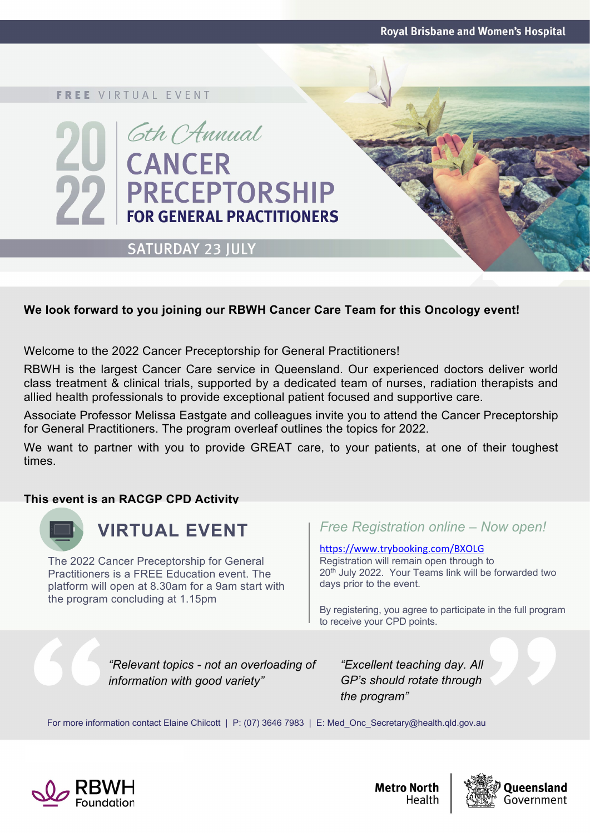**Royal Brisbane and Women's Hospital** 

#### **FREE VIRTUAL EVENT**

# Gth CAnnual **CANCER PRECEPTORSHIP FOR GENERAL PRACTITIONERS**

### **SATURDAY 23 JULY**

#### **We look forward to you joining our RBWH Cancer Care Team for this Oncology event!**

Welcome to the 2022 Cancer Preceptorship for General Practitioners!

RBWH is the largest Cancer Care service in Queensland. Our experienced doctors deliver world class treatment & clinical trials, supported by a dedicated team of nurses, radiation therapists and allied health professionals to provide exceptional patient focused and supportive care.

Associate Professor Melissa Eastgate and colleagues invite you to attend the Cancer Preceptorship for General Practitioners. The program overleaf outlines the topics for 2022.

We want to partner with you to provide GREAT care, to your patients, at one of their toughest times.

#### **This event is an RACGP CPD Activity**



### **VIRTUAL EVENT**

The 2022 Cancer Preceptorship for General Practitioners is a FREE Education event. The platform will open at 8.30am for a 9am start with the program concluding at 1.15pm

*Free Registration online – Now open!*

<https://www.trybooking.com/BXOLG> Registration will remain open through to 20<sup>th</sup> July 2022. Your Teams link will be forwarded two days prior to the event.

By registering, you agree to participate in the full program to receive your CPD points.

*"Relevant topics - not an overloading of information with good variety"* 

*"Excellent teaching day. All GP's should rotate through the program"*

For more information contact Elaine Chilcott | P: (07) 3646 7983 | E: Med Onc Secretary@health.qld.gov.au